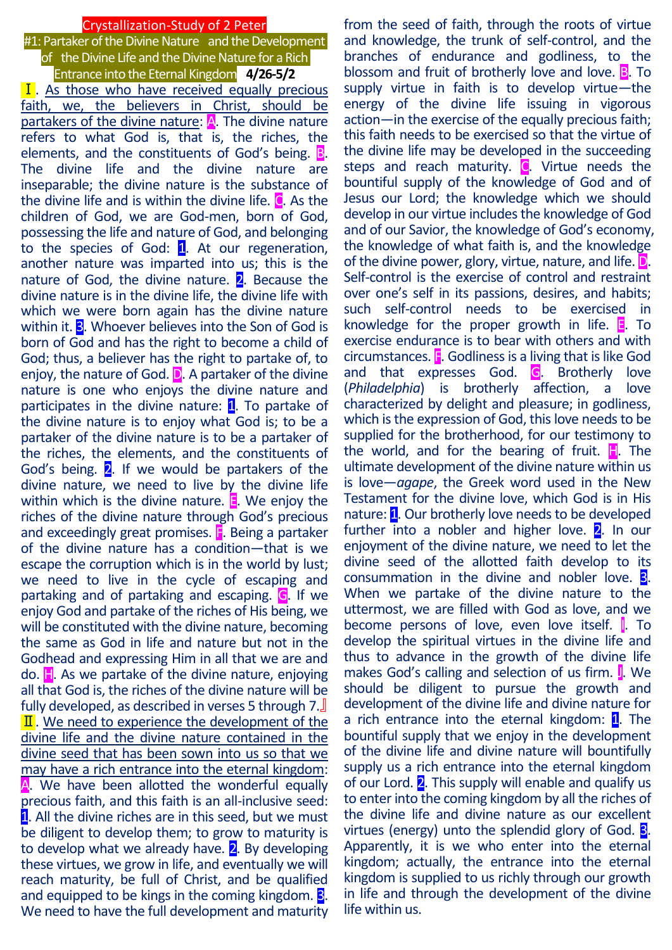### Crystallization-Study of 2 Peter

#1: Partaker of the Divine Nature and the Development of the Divine Life and the Divine Nature for a Rich Entrance into the Eternal Kingdom **4/26-5/2**  $\overline{I}$ . As those who have received equally precious faith, we, the believers in Christ, should be partakers of the divine nature:  $\overline{A}$ . The divine nature refers to what God is, that is, the riches, the elements, and the constituents of God's being. B. The divine life and the divine nature are inseparable; the divine nature is the substance of the divine life and is within the divine life.  $\mathbf C$ . As the children of God, we are God-men, born of God, possessing the life and nature of God, and belonging to the species of God:  $1$ . At our regeneration, another nature was imparted into us; this is the nature of God, the divine nature.  $2$ . Because the divine nature is in the divine life, the divine life with which we were born again has the divine nature within it.  $\overline{3}$ . Whoever believes into the Son of God is born of God and has the right to become a child of God; thus, a believer has the right to partake of, to enjoy, the nature of God.  $D$ . A partaker of the divine nature is one who enjoys the divine nature and participates in the divine nature:  $\mathbf{1}$ . To partake of the divine nature is to enjoy what God is; to be a partaker of the divine nature is to be a partaker of the riches, the elements, and the constituents of God's being. 2. If we would be partakers of the divine nature, we need to live by the divine life within which is the divine nature.  $\blacksquare$  We enjoy the riches of the divine nature through God's precious and exceedingly great promises.  $\mathbf{F}$ . Being a partaker of the divine nature has a condition—that is we escape the corruption which is in the world by lust; we need to live in the cycle of escaping and partaking and of partaking and escaping. G. If we enjoy God and partake of the riches of His being, we will be constituted with the divine nature, becoming the same as God in life and nature but not in the Godhead and expressing Him in all that we are and do.  $\mathbf{H}$ . As we partake of the divine nature, enjoying all that God is, the riches of the divine nature will be fully developed, as described in verses 5 through 7.』  $\overline{\mathbf{II}}$ . We need to experience the development of the divine life and the divine nature contained in the divine seed that has been sown into us so that we may have a rich entrance into the eternal kingdom: A. We have been allotted the wonderful equally precious faith, and this faith is an all-inclusive seed: 1. All the divine riches are in this seed, but we must be diligent to develop them; to grow to maturity is to develop what we already have.  $2$ . By developing these virtues, we grow in life, and eventually we will reach maturity, be full of Christ, and be qualified and equipped to be kings in the coming kingdom. **3**. We need to have the full development and maturity

from the seed of faith, through the roots of virtue and knowledge, the trunk of self-control, and the branches of endurance and godliness, to the blossom and fruit of brotherly love and love.  $\mathbb{B}$ . To supply virtue in faith is to develop virtue—the energy of the divine life issuing in vigorous action—in the exercise of the equally precious faith; this faith needs to be exercised so that the virtue of the divine life may be developed in the succeeding steps and reach maturity. C. Virtue needs the bountiful supply of the knowledge of God and of Jesus our Lord; the knowledge which we should develop in our virtue includes the knowledge of God and of our Savior, the knowledge of God's economy, the knowledge of what faith is, and the knowledge of the divine power, glory, virtue, nature, and life. **D**. Self-control is the exercise of control and restraint over one's self in its passions, desires, and habits; such self-control needs to be exercised in knowledge for the proper growth in life.  $\blacksquare$ . To exercise endurance is to bear with others and with circumstances. F. Godliness is a living that is like God and that expresses God. G. Brotherly love (*Philadelphia*) is brotherly affection, a love characterized by delight and pleasure; in godliness, which is the expression of God, this love needs to be supplied for the brotherhood, for our testimony to the world, and for the bearing of fruit.  $\mathbf{H}$ . The ultimate development of the divine nature within us is love—*agape*, the Greek word used in the New Testament for the divine love, which God is in His nature: 1. Our brotherly love needs to be developed further into a nobler and higher love.  $2$ . In our enjoyment of the divine nature, we need to let the divine seed of the allotted faith develop to its consummation in the divine and nobler love. **3**. When we partake of the divine nature to the uttermost, we are filled with God as love, and we become persons of love, even love itself. **I**. To develop the spiritual virtues in the divine life and thus to advance in the growth of the divine life makes God's calling and selection of us firm. **J.** We should be diligent to pursue the growth and development of the divine life and divine nature for a rich entrance into the eternal kingdom: 1. The bountiful supply that we enjoy in the development of the divine life and divine nature will bountifully supply us a rich entrance into the eternal kingdom of our Lord.  $2$ . This supply will enable and qualify us to enter into the coming kingdom by all the riches of the divine life and divine nature as our excellent virtues (energy) unto the splendid glory of God. 3. Apparently, it is we who enter into the eternal kingdom; actually, the entrance into the eternal kingdom is supplied to us richly through our growth in life and through the development of the divine life within us.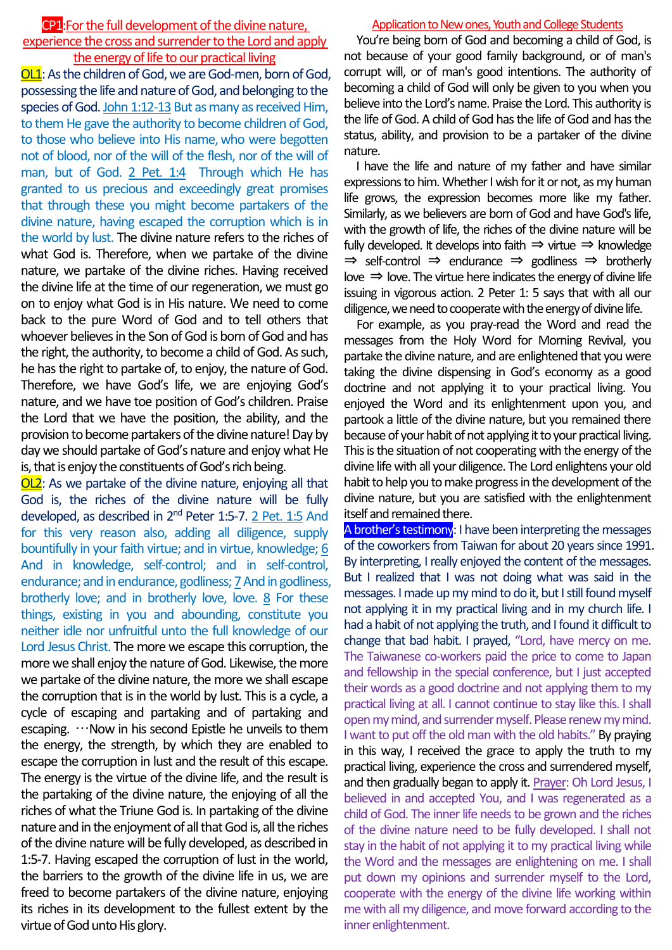# CP1:Forthe full development of the divine nature,

## experience the cross and surrender to the Lord and apply the energy of life to our practical living

**OL1**: As the children of God, we are God-men, born of God, possessing the life and nature of God, and belonging to the species of God. John 1:12-13 But as many as received Him, to them He gave the authority to become children of God, to those who believe into His name, who were begotten not of blood, nor of the will of the flesh, nor of the will of man, but of God. 2 Pet. 1:4 Through which He has granted to us precious and exceedingly great promises that through these you might become partakers of the divine nature, having escaped the corruption which is in the world by lust. The divine nature refers to the riches of what God is. Therefore, when we partake of the divine nature, we partake of the divine riches. Having received the divine life at the time of our regeneration, we must go on to enjoy what God is in His nature. We need to come back to the pure Word of God and to tell others that whoever believes in the Son of God is born of God and has the right, the authority, to become a child of God. As such, he has the right to partake of, to enjoy, the nature of God. Therefore, we have God's life, we are enjoying God's nature, and we have toe position of God's children. Praise the Lord that we have the position, the ability, and the provision to become partakers of the divine nature! Day by day we should partake of God's nature and enjoy what He is, that is enjoy the constituents of God's rich being.

OL2: As we partake of the divine nature, enjoying all that God is, the riches of the divine nature will be fully developed, as described in 2<sup>nd</sup> Peter 1:5-7. 2 Pet. 1:5 And for this very reason also, adding all diligence, supply bountifully in your faith virtue; and in virtue, knowledge; 6 And in knowledge, self-control; and in self-control, endurance; and in endurance, godliness; 7 And in godliness, brotherly love; and in brotherly love, love. 8 For these things, existing in you and abounding, constitute you neither idle nor unfruitful unto the full knowledge of our Lord Jesus Christ. The more we escape this corruption, the more we shall enjoy the nature of God. Likewise, the more we partake of the divine nature, the more we shall escape the corruption that is in the world by lust. This is a cycle, a cycle of escaping and partaking and of partaking and escaping. …Now in his second Epistle he unveils to them the energy, the strength, by which they are enabled to escape the corruption in lust and the result of this escape. The energy is the virtue of the divine life, and the result is the partaking of the divine nature, the enjoying of all the riches of what the Triune God is. In partaking of the divine nature and in the enjoyment of all that God is, all the riches of the divine nature will be fully developed, as described in 1:5-7. Having escaped the corruption of lust in the world, the barriers to the growth of the divine life in us, we are freed to become partakers of the divine nature, enjoying its riches in its development to the fullest extent by the virtue of God unto His glory.

#### Application to New ones, Youth and College Students

You're being born of God and becoming a child of God, is not because of your good family background, or of man's corrupt will, or of man's good intentions. The authority of becoming a child of God will only be given to you when you believe into the Lord's name. Praise the Lord. This authority is the life of God. A child of God has the life of God and has the status, ability, and provision to be a partaker of the divine nature.

I have the life and nature of my father and have similar expressions to him. Whether I wish for it or not, as my human life grows, the expression becomes more like my father. Similarly, as we believers are born of God and have God's life, with the growth of life, the riches of the divine nature will be fully developed. It develops into faith  $\Rightarrow$  virtue  $\Rightarrow$  knowledge ⇒ self-control ⇒ endurance ⇒ godliness ⇒ brotherly love  $\Rightarrow$  love. The virtue here indicates the energy of divine life issuing in vigorous action. 2 Peter 1: 5 says that with all our diligence, we need to cooperate with the energy of divine life.

For example, as you pray-read the Word and read the messages from the Holy Word for Morning Revival, you partake the divine nature, and are enlightened that you were taking the divine dispensing in God's economy as a good doctrine and not applying it to your practical living. You enjoyed the Word and its enlightenment upon you, and partook a little of the divine nature, but you remained there because of your habit of not applying it to your practical living. This is the situation of not cooperating with the energy of the divine life with all your diligence. The Lord enlightens your old habit to help you to make progress in the development of the divine nature, but you are satisfied with the enlightenment itself and remained there.

A brother's testimony: I have been interpreting the messages of the coworkers from Taiwan for about 20 years since 1991. By interpreting, I really enjoyed the content of the messages. But I realized that I was not doing what was said in the messages. I made up my mind to do it, but I still found myself not applying it in my practical living and in my church life. I had a habit of not applying the truth, and I found it difficult to change that bad habit. I prayed, "Lord, have mercy on me. The Taiwanese co-workers paid the price to come to Japan and fellowship in the special conference, but I just accepted their words as a good doctrine and not applying them to my practical living at all. I cannot continue to stay like this. I shall open my mind, and surrender myself. Please renew my mind. I want to put off the old man with the old habits." By praying in this way, I received the grace to apply the truth to my practical living, experience the cross and surrendered myself, and then gradually began to apply it. Prayer: Oh Lord Jesus, I believed in and accepted You, and I was regenerated as a child of God. The inner life needs to be grown and the riches of the divine nature need to be fully developed. I shall not stay in the habit of not applying it to my practical living while the Word and the messages are enlightening on me. I shall put down my opinions and surrender myself to the Lord, cooperate with the energy of the divine life working within me with all my diligence, and move forward according to the inner enlightenment.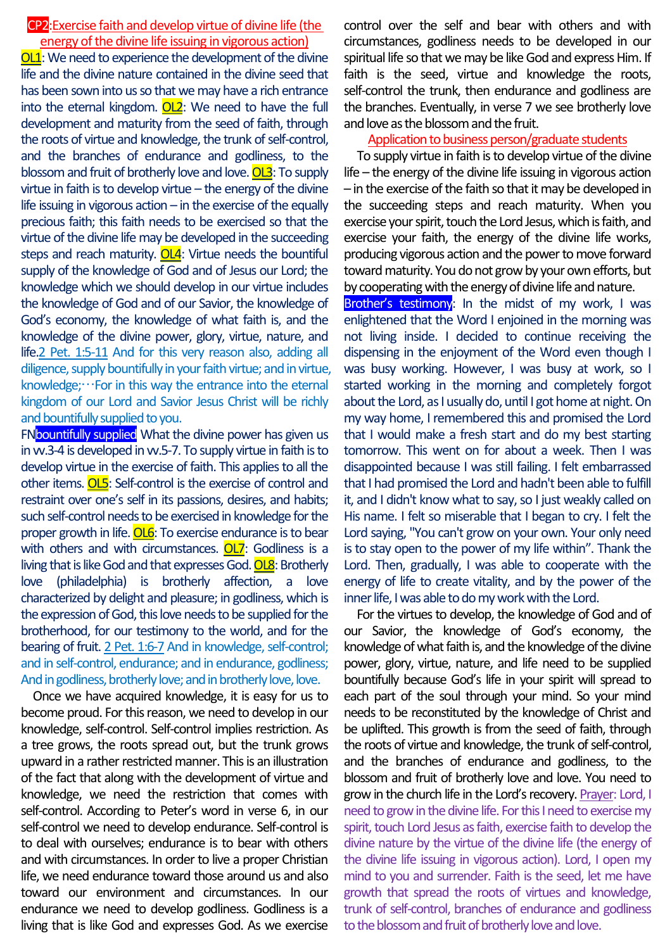## CP2:Exercise faith and develop virtue of divine life (the energy of the divine life issuing in vigorous action)

**OL1**: We need to experience the development of the divine life and the divine nature contained in the divine seed that has been sown into us so that we may have a rich entrance into the eternal kingdom. OL2: We need to have the full development and maturity from the seed of faith, through the roots of virtue and knowledge, the trunk of self-control, and the branches of endurance and godliness, to the blossom and fruit of brotherly love and love. OL3: To supply virtue in faith is to develop virtue – the energy of the divine life issuing in vigorous action  $-$  in the exercise of the equally precious faith; this faith needs to be exercised so that the virtue of the divine life may be developed in the succeeding steps and reach maturity. **OL4**: Virtue needs the bountiful supply of the knowledge of God and of Jesus our Lord; the knowledge which we should develop in our virtue includes the knowledge of God and of our Savior, the knowledge of God's economy, the knowledge of what faith is, and the knowledge of the divine power, glory, virtue, nature, and life.2 Pet. 1:5-11 And for this very reason also, adding all diligence, supply bountifully in your faith virtue; and in virtue, knowledge; $\cdots$  For in this way the entrance into the eternal kingdom of our Lord and Savior Jesus Christ will be richly and bountifully supplied to you.

FNbountifully supplied What the divine power has given us in vv.3-4 is developed in vv.5-7. To supply virtue in faith is to develop virtue in the exercise of faith. This applies to all the other items. OL5: Self-control is the exercise of control and restraint over one's self in its passions, desires, and habits; such self-control needs to be exercised in knowledge for the proper growth in life. OL6: To exercise endurance is to bear with others and with circumstances. OL7: Godliness is a living that is like God and that expresses God.  $OLB$ : Brotherly love (philadelphia) is brotherly affection, a love characterized by delight and pleasure; in godliness, which is the expression of God, this love needs to be supplied for the brotherhood, for our testimony to the world, and for the bearing of fruit. 2 Pet. 1:6-7 And in knowledge, self-control; and in self-control, endurance; and in endurance, godliness; And in godliness, brotherly love; and in brotherly love, love.

Once we have acquired knowledge, it is easy for us to become proud. For this reason, we need to develop in our knowledge, self-control. Self-control implies restriction. As a tree grows, the roots spread out, but the trunk grows upward in a rather restricted manner. This is an illustration of the fact that along with the development of virtue and knowledge, we need the restriction that comes with self-control. According to Peter's word in verse 6, in our self-control we need to develop endurance. Self-control is to deal with ourselves; endurance is to bear with others and with circumstances. In order to live a proper Christian life, we need endurance toward those around us and also toward our environment and circumstances. In our endurance we need to develop godliness. Godliness is a living that is like God and expresses God. As we exercise

control over the self and bear with others and with circumstances, godliness needs to be developed in our spiritual life so that we may be like God and express Him. If faith is the seed, virtue and knowledge the roots, self-control the trunk, then endurance and godliness are the branches. Eventually, in verse 7 we see brotherly love and love as the blossom and the fruit.

#### Application to business person/graduate students

To supply virtue in faith is to develop virtue of the divine life – the energy of the divine life issuing in vigorous action – in the exercise of the faith so that it may be developed in the succeeding steps and reach maturity. When you exercise your spirit, touch the Lord Jesus, which is faith, and exercise your faith, the energy of the divine life works, producing vigorous action and the power to move forward toward maturity. You do not grow by your own efforts, but by cooperating with the energy of divine life and nature.

Brother's testimony: In the midst of my work, I was enlightened that the Word I enjoined in the morning was not living inside. I decided to continue receiving the dispensing in the enjoyment of the Word even though I was busy working. However, I was busy at work, so I started working in the morning and completely forgot about the Lord, as I usually do, until I got home at night. On my way home, I remembered this and promised the Lord that I would make a fresh start and do my best starting tomorrow. This went on for about a week. Then I was disappointed because I was still failing. I felt embarrassed that I had promised the Lord and hadn't been able to fulfill it, and I didn't know what to say, so I just weakly called on His name. I felt so miserable that I began to cry. I felt the Lord saying, "You can't grow on your own. Your only need is to stay open to the power of my life within". Thank the Lord. Then, gradually, I was able to cooperate with the energy of life to create vitality, and by the power of the inner life, I was able to do my work with the Lord.

For the virtues to develop, the knowledge of God and of our Savior, the knowledge of God's economy, the knowledge of what faith is, and the knowledge of the divine power, glory, virtue, nature, and life need to be supplied bountifully because God's life in your spirit will spread to each part of the soul through your mind. So your mind needs to be reconstituted by the knowledge of Christ and be uplifted. This growth is from the seed of faith, through the roots of virtue and knowledge, the trunk of self-control, and the branches of endurance and godliness, to the blossom and fruit of brotherly love and love. You need to grow in the church life in the Lord's recovery. Prayer: Lord, I need to grow in the divine life. For this I need to exercise my spirit, touch Lord Jesus as faith, exercise faith to develop the divine nature by the virtue of the divine life (the energy of the divine life issuing in vigorous action). Lord, I open my mind to you and surrender. Faith is the seed, let me have growth that spread the roots of virtues and knowledge, trunk of self-control, branches of endurance and godliness to the blossom and fruit of brotherly love and love.